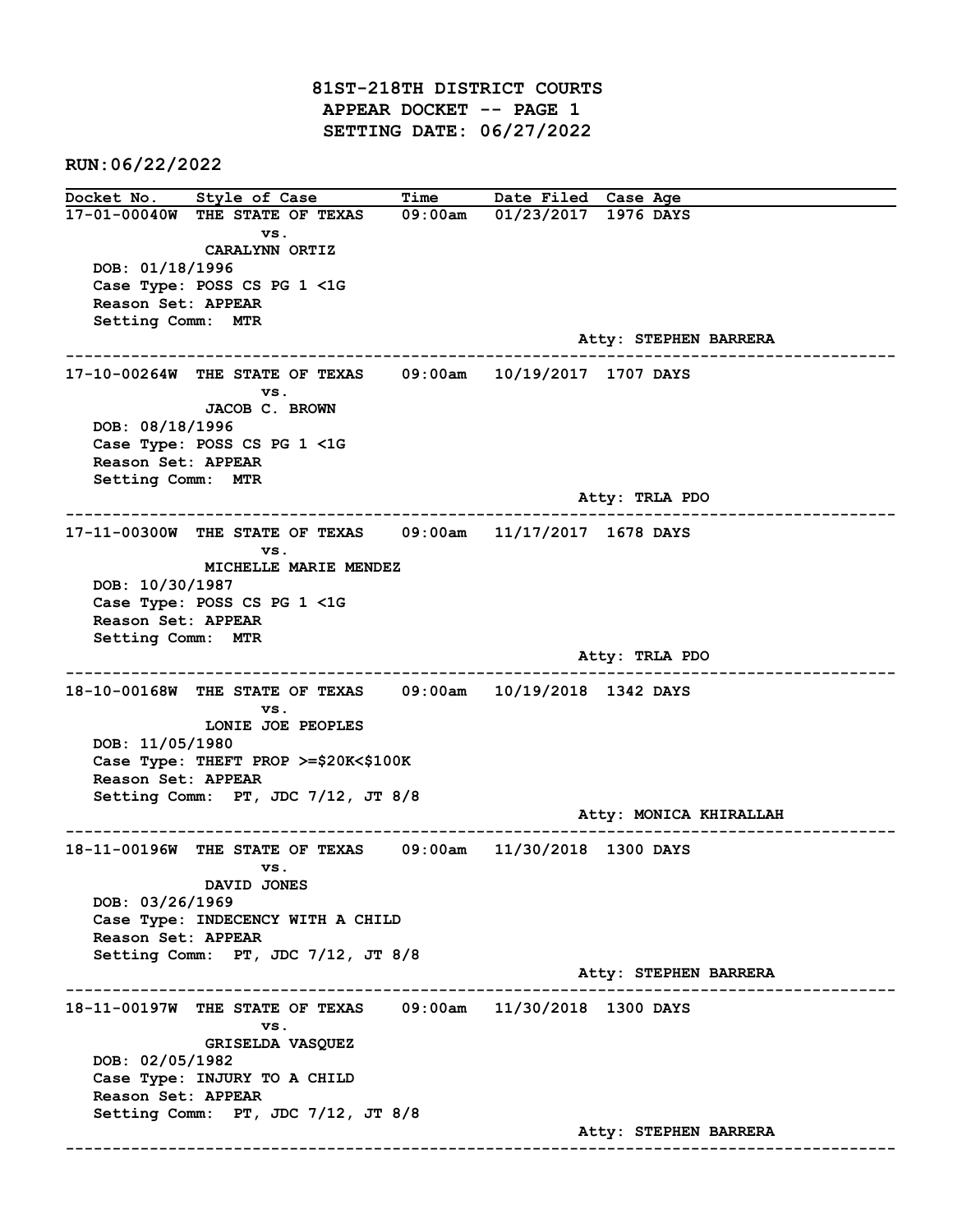81ST-218TH DISTRICT COURTS APPEAR DOCKET -- PAGE 1 SETTING DATE: 06/27/2022

RUN:06/22/2022

Docket No. Style of Case Time Date Filed Case Age 17-01-00040W THE STATE OF TEXAS 09:00am 01/23/2017 1976 DAYS vs. CARALYNN ORTIZ DOB: 01/18/1996 Case Type: POSS CS PG 1 <1G Reason Set: APPEAR Setting Comm: MTR Atty: STEPHEN BARRERA ------------------------------------------------------------------------------------------------------------------------ 17-10-00264W THE STATE OF TEXAS 09:00am 10/19/2017 1707 DAYS vs. JACOB C. BROWN DOB: 08/18/1996 Case Type: POSS CS PG 1 <1G Reason Set: APPEAR Setting Comm: MTR Atty: TRLA PDO ------------------------------------------------------------------------------------------------------------------------ 17-11-00300W THE STATE OF TEXAS 09:00am 11/17/2017 1678 DAYS vs. MICHELLE MARIE MENDEZ DOB: 10/30/1987 Case Type: POSS CS PG 1 <1G Reason Set: APPEAR Setting Comm: MTR Atty: TRLA PDO ------------------------------------------------------------------------------------------------------------------------ 18-10-00168W THE STATE OF TEXAS 09:00am 10/19/2018 1342 DAYS vs. LONIE JOE PEOPLES DOB: 11/05/1980 Case Type: THEFT PROP >=\$20K<\$100K Reason Set: APPEAR Setting Comm: PT, JDC 7/12, JT 8/8 Atty: MONICA KHIRALLAH ------------------------------------------------------------------------------------------------------------------------ 18-11-00196W THE STATE OF TEXAS 09:00am 11/30/2018 1300 DAYS vs. DAVID JONES DOB: 03/26/1969 Case Type: INDECENCY WITH A CHILD Reason Set: APPEAR Setting Comm: PT, JDC 7/12, JT 8/8 Atty: STEPHEN BARRERA ------------------------------------------------------------------------------------------------------------------------ 18-11-00197W THE STATE OF TEXAS 09:00am 11/30/2018 1300 DAYS vs. GRISELDA VASQUEZ DOB: 02/05/1982 Case Type: INJURY TO A CHILD Reason Set: APPEAR Setting Comm: PT, JDC 7/12, JT 8/8 Atty: STEPHEN BARRERA ------------------------------------------------------------------------------------------------------------------------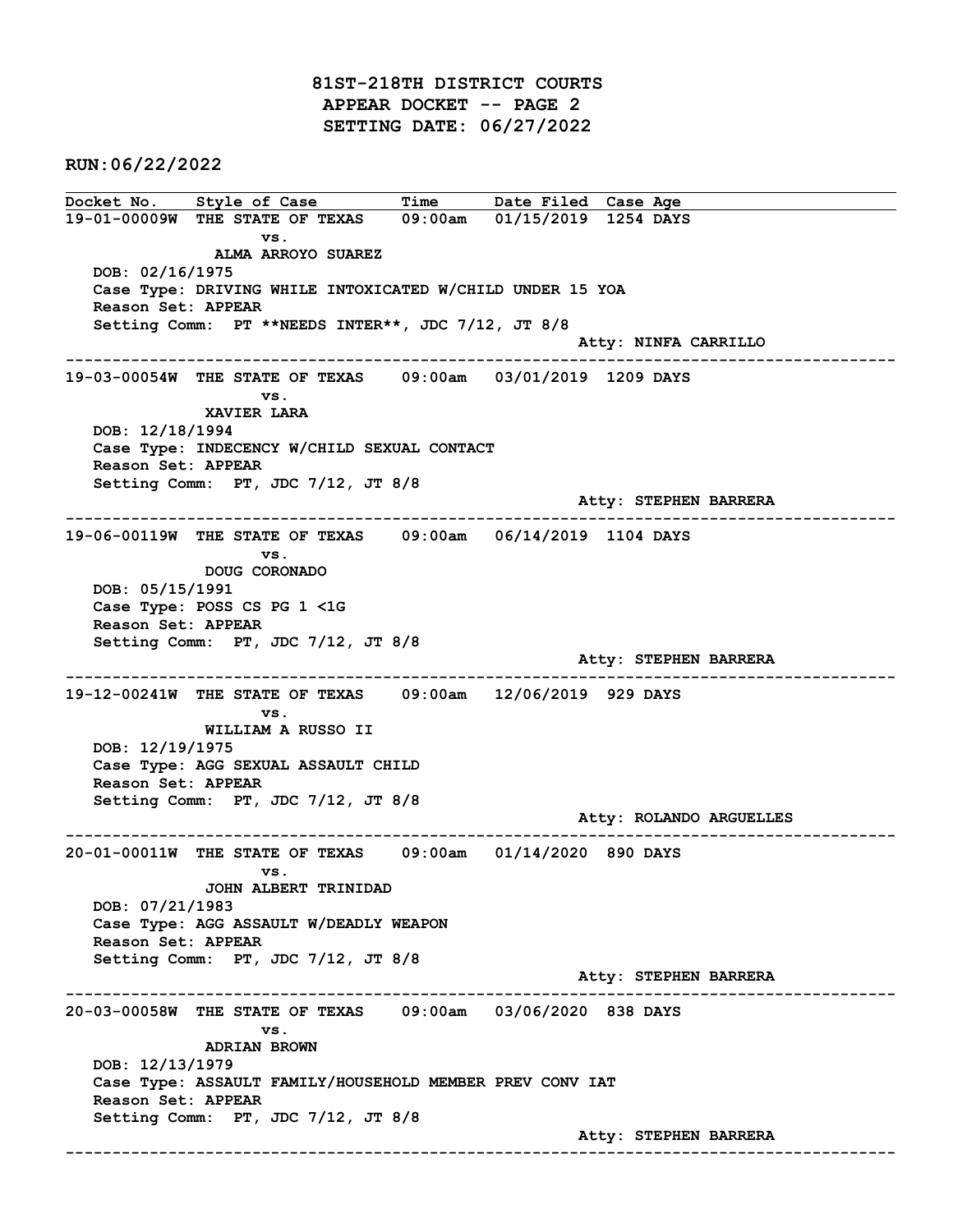81ST-218TH DISTRICT COURTS APPEAR DOCKET -- PAGE 2 SETTING DATE: 06/27/2022

RUN:06/22/2022

Docket No. Style of Case Time Date Filed Case Age 19-01-00009W THE STATE OF TEXAS 09:00am 01/15/2019 1254 DAYS vs. ALMA ARROYO SUAREZ DOB: 02/16/1975 Case Type: DRIVING WHILE INTOXICATED W/CHILD UNDER 15 YOA Reason Set: APPEAR Setting Comm: PT \*\*NEEDS INTER\*\*, JDC 7/12, JT 8/8 Atty: NINFA CARRILLO ------------------------------------------------------------------------------------------------------------------------ 19-03-00054W THE STATE OF TEXAS 09:00am 03/01/2019 1209 DAYS vs. XAVIER LARA DOB: 12/18/1994 Case Type: INDECENCY W/CHILD SEXUAL CONTACT Reason Set: APPEAR Setting Comm: PT, JDC 7/12, JT 8/8 Atty: STEPHEN BARRERA ------------------------------------------------------------------------------------------------------------------------ 19-06-00119W THE STATE OF TEXAS 09:00am 06/14/2019 1104 DAYS vs. DOUG CORONADO DOB: 05/15/1991 Case Type: POSS CS PG 1 <1G Reason Set: APPEAR Setting Comm: PT, JDC 7/12, JT 8/8 Atty: STEPHEN BARRERA ------------------------------------------------------------------------------------------------------------------------ 19-12-00241W THE STATE OF TEXAS 09:00am 12/06/2019 929 DAYS vs. WILLIAM A RUSSO II DOB: 12/19/1975 Case Type: AGG SEXUAL ASSAULT CHILD Reason Set: APPEAR Setting Comm: PT, JDC 7/12, JT 8/8 Atty: ROLANDO ARGUELLES ------------------------------------------------------------------------------------------------------------------------ 20-01-00011W THE STATE OF TEXAS 09:00am 01/14/2020 890 DAYS vs. JOHN ALBERT TRINIDAD DOB: 07/21/1983 Case Type: AGG ASSAULT W/DEADLY WEAPON Reason Set: APPEAR Setting Comm: PT, JDC 7/12, JT 8/8 Atty: STEPHEN BARRERA ------------------------------------------------------------------------------------------------------------------------ 20-03-00058W THE STATE OF TEXAS 09:00am 03/06/2020 838 DAYS vs. ADRIAN BROWN DOB: 12/13/1979 Case Type: ASSAULT FAMILY/HOUSEHOLD MEMBER PREV CONV IAT Reason Set: APPEAR Setting Comm: PT, JDC 7/12, JT 8/8 Atty: STEPHEN BARRERA ------------------------------------------------------------------------------------------------------------------------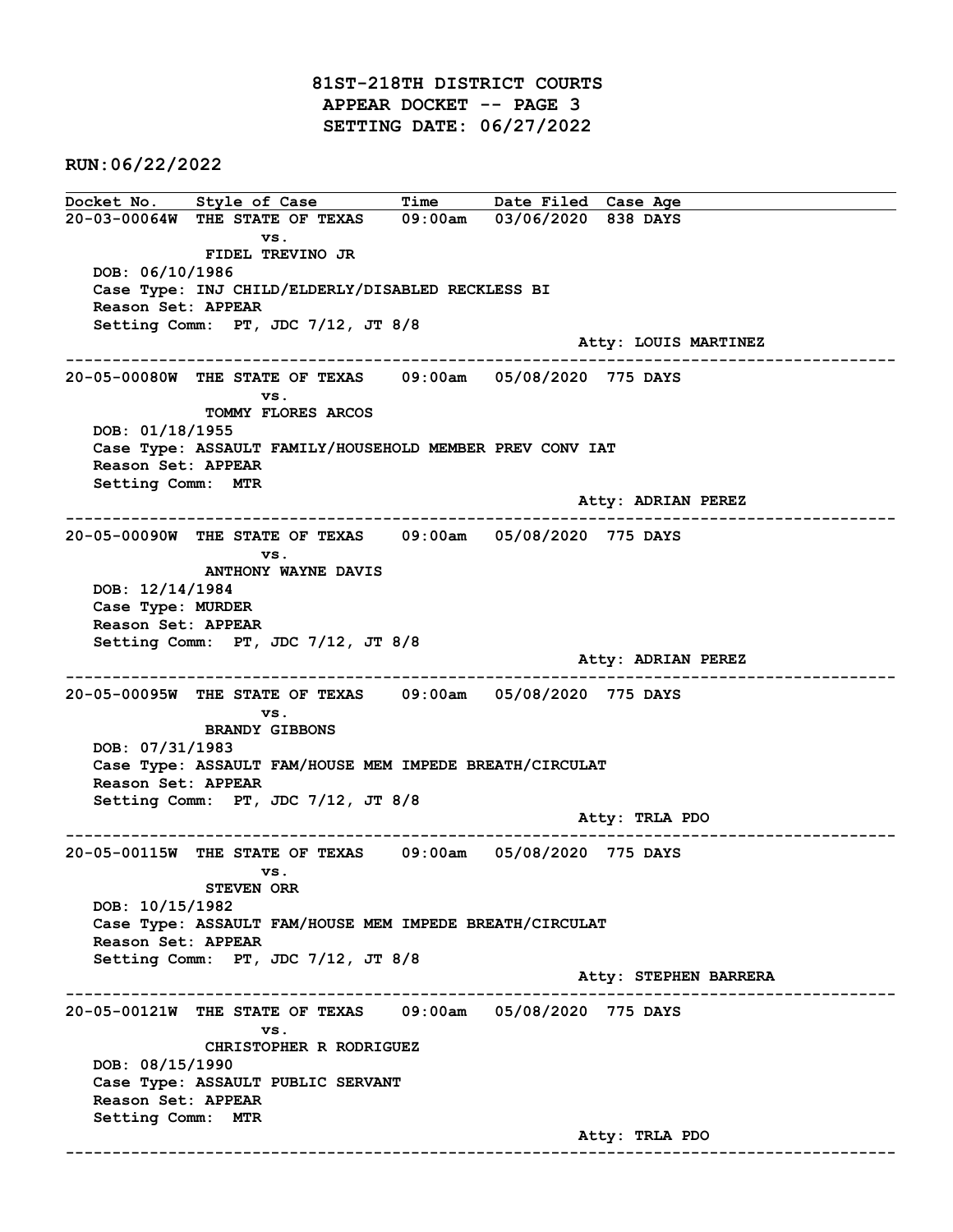81ST-218TH DISTRICT COURTS APPEAR DOCKET -- PAGE 3 SETTING DATE: 06/27/2022

RUN:06/22/2022

Docket No. Style of Case Time Date Filed Case Age 20-03-00064W THE STATE OF TEXAS 09:00am 03/06/2020 838 DAYS vs. FIDEL TREVINO JR DOB: 06/10/1986 Case Type: INJ CHILD/ELDERLY/DISABLED RECKLESS BI Reason Set: APPEAR Setting Comm: PT, JDC 7/12, JT 8/8 Atty: LOUIS MARTINEZ ------------------------------------------------------------------------------------------------------------------------ 20-05-00080W THE STATE OF TEXAS 09:00am 05/08/2020 775 DAYS vs. TOMMY FLORES ARCOS DOB: 01/18/1955 Case Type: ASSAULT FAMILY/HOUSEHOLD MEMBER PREV CONV IAT Reason Set: APPEAR Setting Comm: MTR Atty: ADRIAN PEREZ ------------------------------------------------------------------------------------------------------------------------ 20-05-00090W THE STATE OF TEXAS 09:00am 05/08/2020 775 DAYS vs. ANTHONY WAYNE DAVIS DOB: 12/14/1984 Case Type: MURDER Reason Set: APPEAR Setting Comm: PT, JDC 7/12, JT 8/8 Atty: ADRIAN PEREZ ------------------------------------------------------------------------------------------------------------------------ 20-05-00095W THE STATE OF TEXAS 09:00am 05/08/2020 775 DAYS vs. BRANDY GIBBONS DOB: 07/31/1983 Case Type: ASSAULT FAM/HOUSE MEM IMPEDE BREATH/CIRCULAT Reason Set: APPEAR Setting Comm: PT, JDC 7/12, JT 8/8 Atty: TRLA PDO ------------------------------------------------------------------------------------------------------------------------ 20-05-00115W THE STATE OF TEXAS 09:00am 05/08/2020 775 DAYS vs. STEVEN ORR DOB: 10/15/1982 Case Type: ASSAULT FAM/HOUSE MEM IMPEDE BREATH/CIRCULAT Reason Set: APPEAR Setting Comm: PT, JDC 7/12, JT 8/8 Atty: STEPHEN BARRERA ------------------------------------------------------------------------------------------------------------------------ 20-05-00121W THE STATE OF TEXAS 09:00am 05/08/2020 775 DAYS vs. CHRISTOPHER R RODRIGUEZ DOB: 08/15/1990 Case Type: ASSAULT PUBLIC SERVANT Reason Set: APPEAR Setting Comm: MTR Atty: TRLA PDO ------------------------------------------------------------------------------------------------------------------------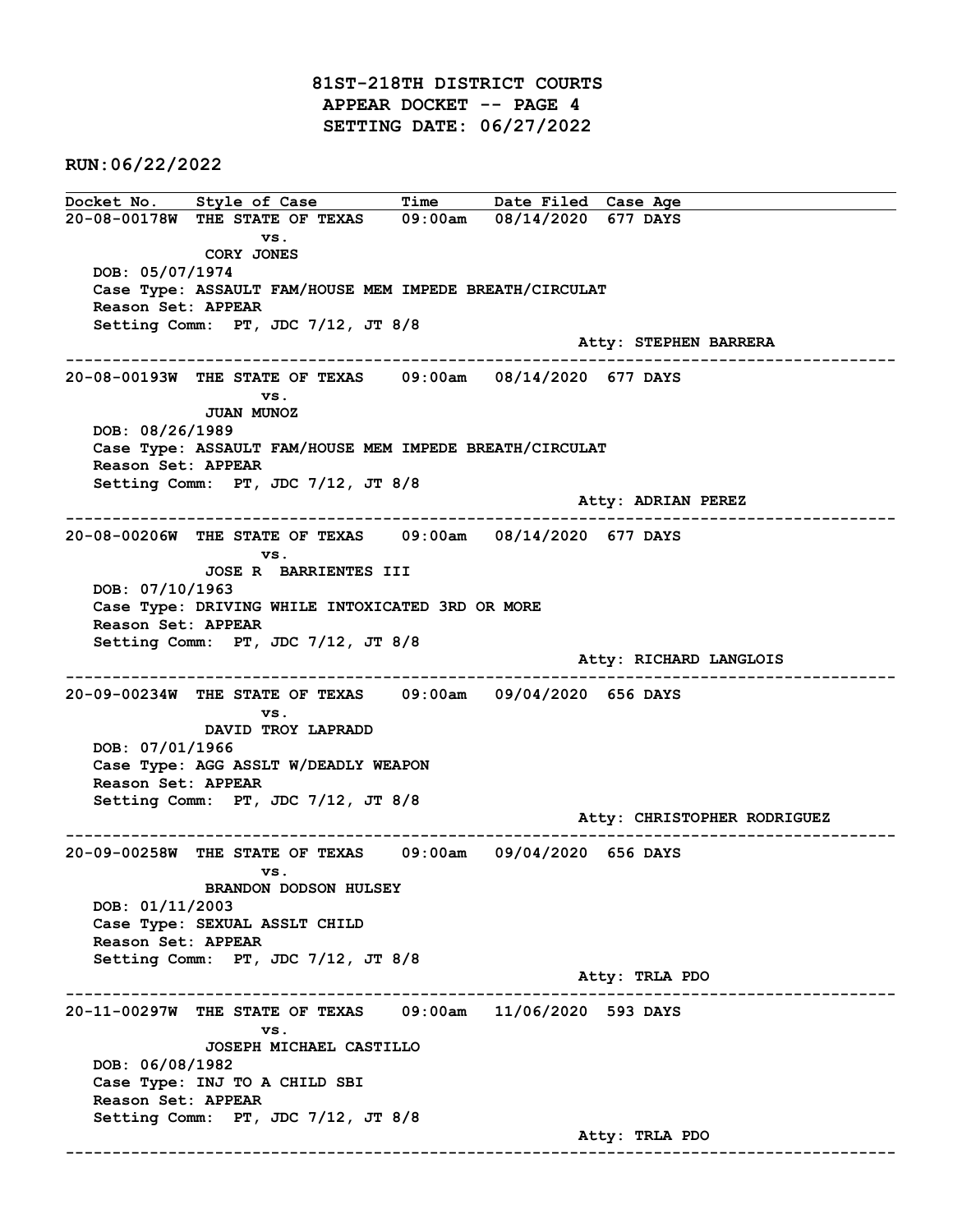81ST-218TH DISTRICT COURTS APPEAR DOCKET -- PAGE 4 SETTING DATE: 06/27/2022

RUN:06/22/2022

Docket No. Style of Case Time Date Filed Case Age 20-08-00178W THE STATE OF TEXAS 09:00am 08/14/2020 677 DAYS vs. CORY JONES DOB: 05/07/1974 Case Type: ASSAULT FAM/HOUSE MEM IMPEDE BREATH/CIRCULAT Reason Set: APPEAR Setting Comm: PT, JDC 7/12, JT 8/8 Atty: STEPHEN BARRERA ------------------------------------------------------------------------------------------------------------------------ 20-08-00193W THE STATE OF TEXAS 09:00am 08/14/2020 677 DAYS vs. JUAN MUNOZ DOB: 08/26/1989 Case Type: ASSAULT FAM/HOUSE MEM IMPEDE BREATH/CIRCULAT Reason Set: APPEAR Setting Comm: PT, JDC 7/12, JT 8/8 Atty: ADRIAN PEREZ ------------------------------------------------------------------------------------------------------------------------ 20-08-00206W THE STATE OF TEXAS 09:00am 08/14/2020 677 DAYS vs. JOSE R BARRIENTES III DOB: 07/10/1963 Case Type: DRIVING WHILE INTOXICATED 3RD OR MORE Reason Set: APPEAR Setting Comm: PT, JDC 7/12, JT 8/8 Atty: RICHARD LANGLOIS ------------------------------------------------------------------------------------------------------------------------ 20-09-00234W THE STATE OF TEXAS 09:00am 09/04/2020 656 DAYS vs. DAVID TROY LAPRADD DOB: 07/01/1966 Case Type: AGG ASSLT W/DEADLY WEAPON Reason Set: APPEAR Setting Comm: PT, JDC 7/12, JT 8/8 Atty: CHRISTOPHER RODRIGUEZ ------------------------------------------------------------------------------------------------------------------------ 20-09-00258W THE STATE OF TEXAS 09:00am 09/04/2020 656 DAYS vs. BRANDON DODSON HULSEY DOB: 01/11/2003 Case Type: SEXUAL ASSLT CHILD Reason Set: APPEAR Setting Comm: PT, JDC 7/12, JT 8/8 Atty: TRLA PDO ------------------------------------------------------------------------------------------------------------------------ 20-11-00297W THE STATE OF TEXAS 09:00am 11/06/2020 593 DAYS vs. JOSEPH MICHAEL CASTILLO DOB: 06/08/1982 Case Type: INJ TO A CHILD SBI Reason Set: APPEAR Setting Comm: PT, JDC 7/12, JT 8/8 Atty: TRLA PDO ------------------------------------------------------------------------------------------------------------------------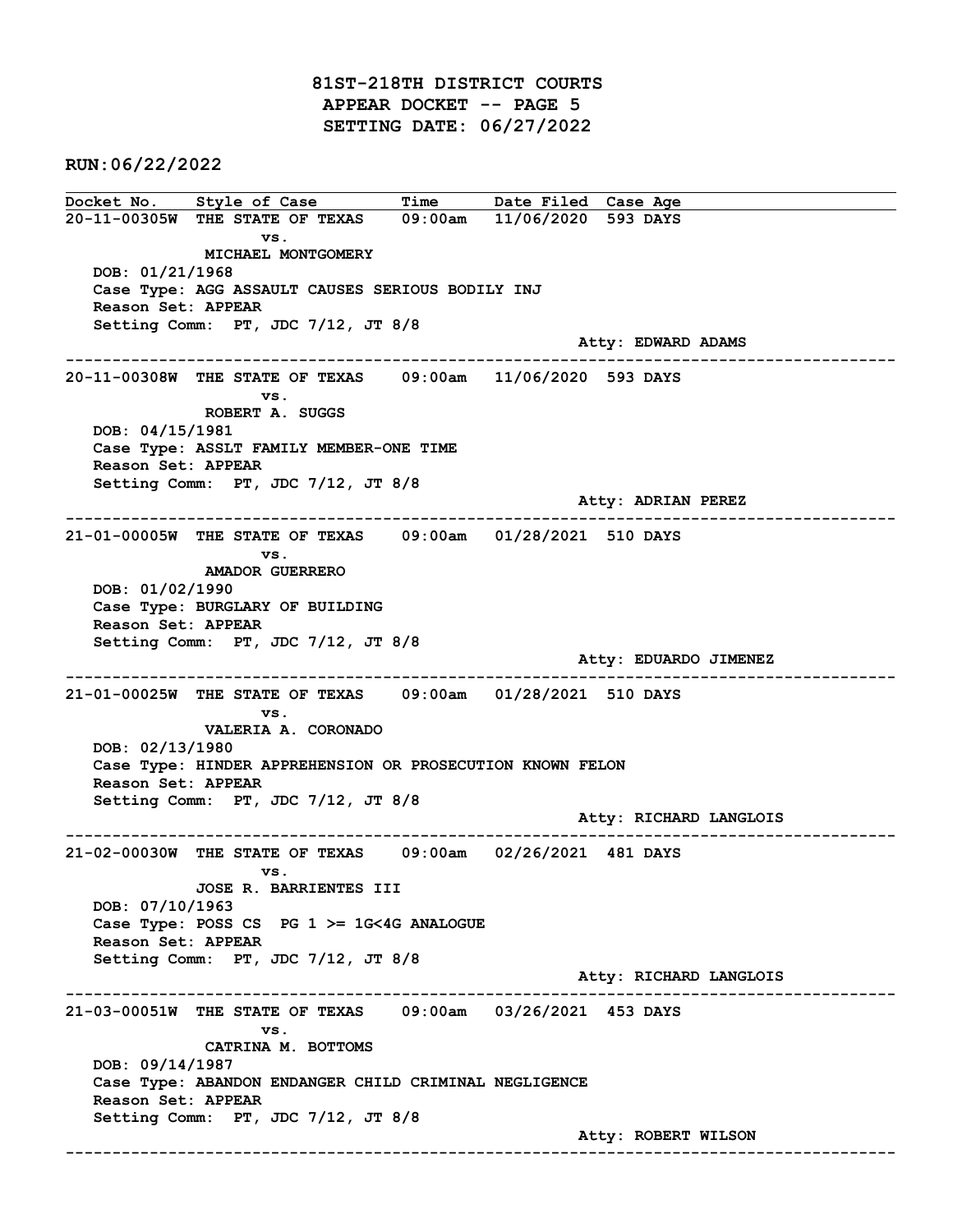81ST-218TH DISTRICT COURTS APPEAR DOCKET -- PAGE 5 SETTING DATE: 06/27/2022

RUN:06/22/2022

Docket No. Style of Case Time Date Filed Case Age 20-11-00305W THE STATE OF TEXAS 09:00am 11/06/2020 593 DAYS vs. MICHAEL MONTGOMERY DOB: 01/21/1968 Case Type: AGG ASSAULT CAUSES SERIOUS BODILY INJ Reason Set: APPEAR Setting Comm: PT, JDC 7/12, JT 8/8 Atty: EDWARD ADAMS ------------------------------------------------------------------------------------------------------------------------ 20-11-00308W THE STATE OF TEXAS 09:00am 11/06/2020 593 DAYS vs. ROBERT A. SUGGS DOB: 04/15/1981 Case Type: ASSLT FAMILY MEMBER-ONE TIME Reason Set: APPEAR Setting Comm: PT, JDC 7/12, JT 8/8 Atty: ADRIAN PEREZ ------------------------------------------------------------------------------------------------------------------------ 21-01-00005W THE STATE OF TEXAS 09:00am 01/28/2021 510 DAYS vs. AMADOR GUERRERO DOB: 01/02/1990 Case Type: BURGLARY OF BUILDING Reason Set: APPEAR Setting Comm: PT, JDC 7/12, JT 8/8 Atty: EDUARDO JIMENEZ ------------------------------------------------------------------------------------------------------------------------ 21-01-00025W THE STATE OF TEXAS 09:00am 01/28/2021 510 DAYS vs. VALERIA A. CORONADO DOB: 02/13/1980 Case Type: HINDER APPREHENSION OR PROSECUTION KNOWN FELON Reason Set: APPEAR Setting Comm: PT, JDC 7/12, JT 8/8 Atty: RICHARD LANGLOIS ------------------------------------------------------------------------------------------------------------------------ 21-02-00030W THE STATE OF TEXAS 09:00am 02/26/2021 481 DAYS vs. JOSE R. BARRIENTES III DOB: 07/10/1963 Case Type: POSS CS PG 1 >= 1G<4G ANALOGUE Reason Set: APPEAR Setting Comm: PT, JDC 7/12, JT 8/8 Atty: RICHARD LANGLOIS ------------------------------------------------------------------------------------------------------------------------ 21-03-00051W THE STATE OF TEXAS 09:00am 03/26/2021 453 DAYS vs. CATRINA M. BOTTOMS DOB: 09/14/1987 Case Type: ABANDON ENDANGER CHILD CRIMINAL NEGLIGENCE Reason Set: APPEAR Setting Comm: PT, JDC 7/12, JT 8/8 Atty: ROBERT WILSON ------------------------------------------------------------------------------------------------------------------------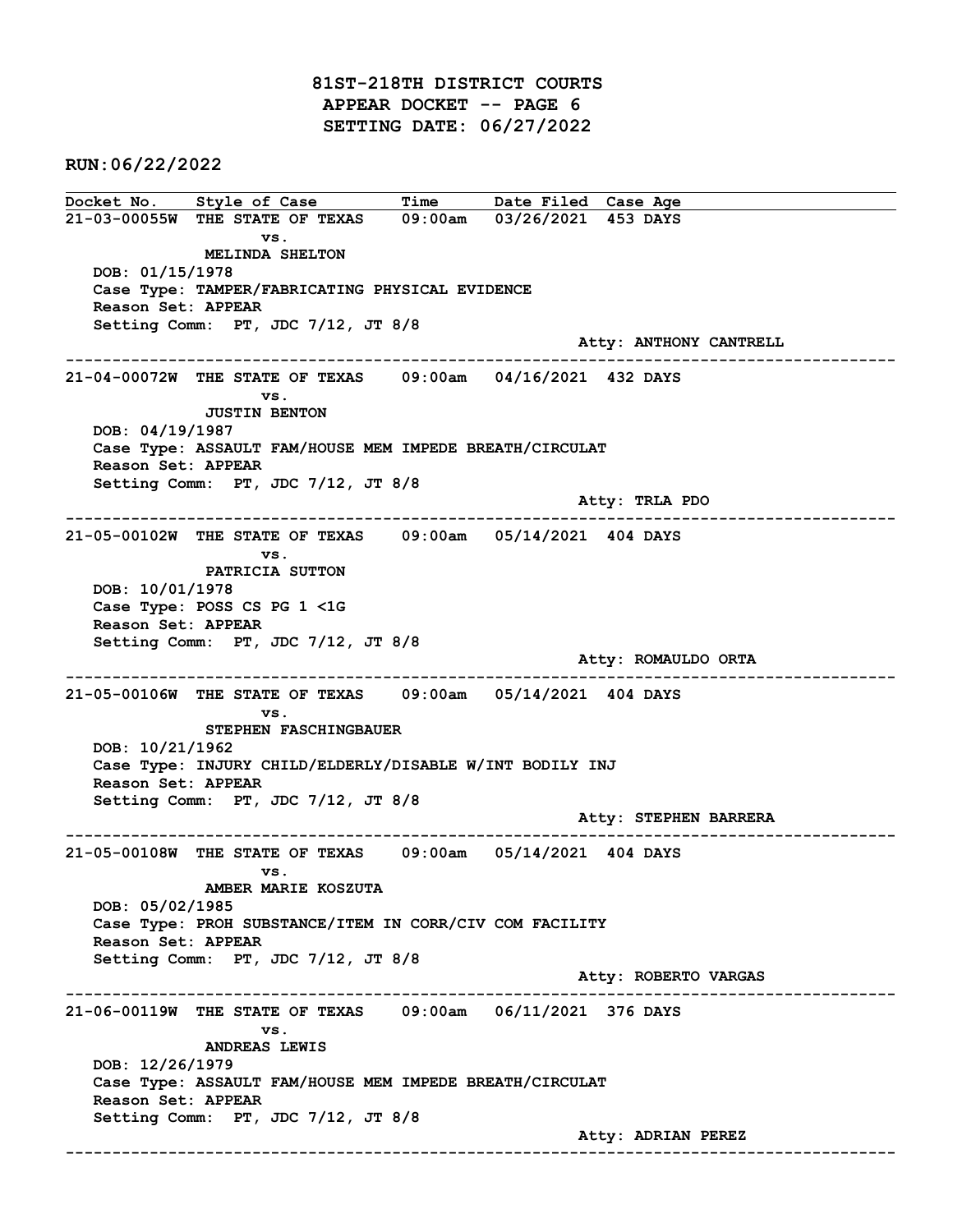81ST-218TH DISTRICT COURTS APPEAR DOCKET -- PAGE 6 SETTING DATE: 06/27/2022

RUN:06/22/2022

Docket No. Style of Case Time Date Filed Case Age 21-03-00055W THE STATE OF TEXAS 09:00am 03/26/2021 453 DAYS vs. MELINDA SHELTON DOB: 01/15/1978 Case Type: TAMPER/FABRICATING PHYSICAL EVIDENCE Reason Set: APPEAR Setting Comm: PT, JDC 7/12, JT 8/8 Atty: ANTHONY CANTRELL ------------------------------------------------------------------------------------------------------------------------ 21-04-00072W THE STATE OF TEXAS 09:00am 04/16/2021 432 DAYS vs. JUSTIN BENTON DOB: 04/19/1987 Case Type: ASSAULT FAM/HOUSE MEM IMPEDE BREATH/CIRCULAT Reason Set: APPEAR Setting Comm: PT, JDC 7/12, JT 8/8 Atty: TRLA PDO ------------------------------------------------------------------------------------------------------------------------ 21-05-00102W THE STATE OF TEXAS 09:00am 05/14/2021 404 DAYS vs. PATRICIA SUTTON DOB: 10/01/1978 Case Type: POSS CS PG 1 <1G Reason Set: APPEAR Setting Comm: PT, JDC 7/12, JT 8/8 Atty: ROMAULDO ORTA ------------------------------------------------------------------------------------------------------------------------ 21-05-00106W THE STATE OF TEXAS 09:00am 05/14/2021 404 DAYS vs. STEPHEN FASCHINGBAUER DOB: 10/21/1962 Case Type: INJURY CHILD/ELDERLY/DISABLE W/INT BODILY INJ Reason Set: APPEAR Setting Comm: PT, JDC 7/12, JT 8/8 Atty: STEPHEN BARRERA ------------------------------------------------------------------------------------------------------------------------ 21-05-00108W THE STATE OF TEXAS 09:00am 05/14/2021 404 DAYS vs. AMBER MARIE KOSZUTA DOB: 05/02/1985 Case Type: PROH SUBSTANCE/ITEM IN CORR/CIV COM FACILITY Reason Set: APPEAR Setting Comm: PT, JDC 7/12, JT 8/8 Atty: ROBERTO VARGAS ------------------------------------------------------------------------------------------------------------------------ 21-06-00119W THE STATE OF TEXAS 09:00am 06/11/2021 376 DAYS vs. ANDREAS LEWIS DOB: 12/26/1979 Case Type: ASSAULT FAM/HOUSE MEM IMPEDE BREATH/CIRCULAT Reason Set: APPEAR Setting Comm: PT, JDC 7/12, JT 8/8 Atty: ADRIAN PEREZ ------------------------------------------------------------------------------------------------------------------------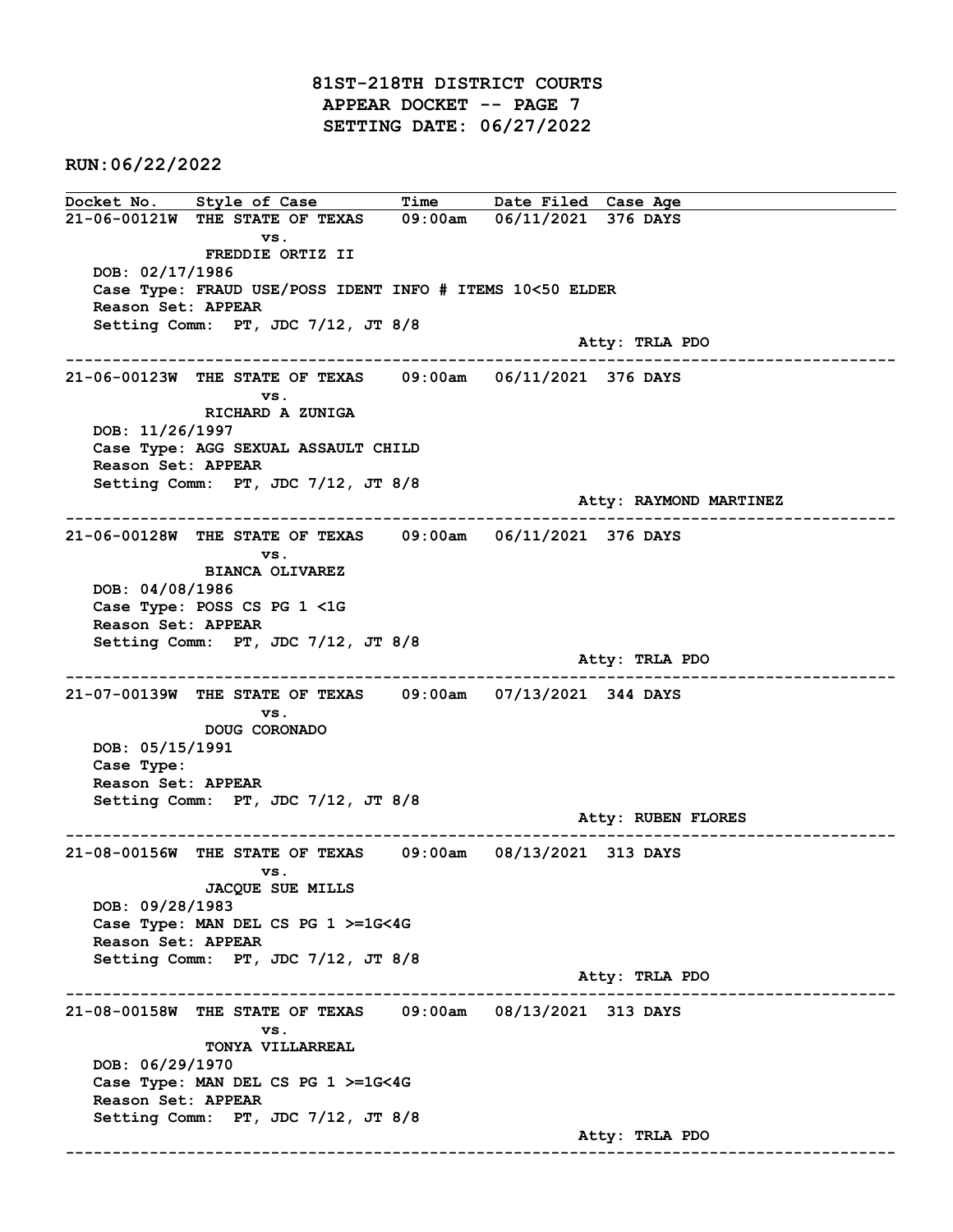81ST-218TH DISTRICT COURTS APPEAR DOCKET -- PAGE 7 SETTING DATE: 06/27/2022

RUN:06/22/2022

Docket No. Style of Case Time Date Filed Case Age 21-06-00121W THE STATE OF TEXAS 09:00am 06/11/2021 376 DAYS vs. FREDDIE ORTIZ II DOB: 02/17/1986 Case Type: FRAUD USE/POSS IDENT INFO # ITEMS 10<50 ELDER Reason Set: APPEAR Setting Comm: PT, JDC 7/12, JT 8/8 Atty: TRLA PDO ------------------------------------------------------------------------------------------------------------------------ 21-06-00123W THE STATE OF TEXAS 09:00am 06/11/2021 376 DAYS vs. RICHARD A ZUNIGA DOB: 11/26/1997 Case Type: AGG SEXUAL ASSAULT CHILD Reason Set: APPEAR Setting Comm: PT, JDC 7/12, JT 8/8 Atty: RAYMOND MARTINEZ ------------------------------------------------------------------------------------------------------------------------ 21-06-00128W THE STATE OF TEXAS 09:00am 06/11/2021 376 DAYS vs. BIANCA OLIVAREZ DOB: 04/08/1986 Case Type: POSS CS PG 1 <1G Reason Set: APPEAR Setting Comm: PT, JDC 7/12, JT 8/8 Atty: TRLA PDO ------------------------------------------------------------------------------------------------------------------------ 21-07-00139W THE STATE OF TEXAS 09:00am 07/13/2021 344 DAYS vs. DOUG CORONADO DOB: 05/15/1991 Case Type: Reason Set: APPEAR Setting Comm: PT, JDC 7/12, JT 8/8 Atty: RUBEN FLORES ------------------------------------------------------------------------------------------------------------------------ 21-08-00156W THE STATE OF TEXAS 09:00am 08/13/2021 313 DAYS vs. JACQUE SUE MILLS DOB: 09/28/1983 Case Type: MAN DEL CS PG 1 >=1G<4G Reason Set: APPEAR Setting Comm: PT, JDC 7/12, JT 8/8 Atty: TRLA PDO ------------------------------------------------------------------------------------------------------------------------ 21-08-00158W THE STATE OF TEXAS 09:00am 08/13/2021 313 DAYS vs. TONYA VILLARREAL DOB: 06/29/1970 Case Type: MAN DEL CS PG 1 >=1G<4G Reason Set: APPEAR Setting Comm: PT, JDC 7/12, JT 8/8 Atty: TRLA PDO ------------------------------------------------------------------------------------------------------------------------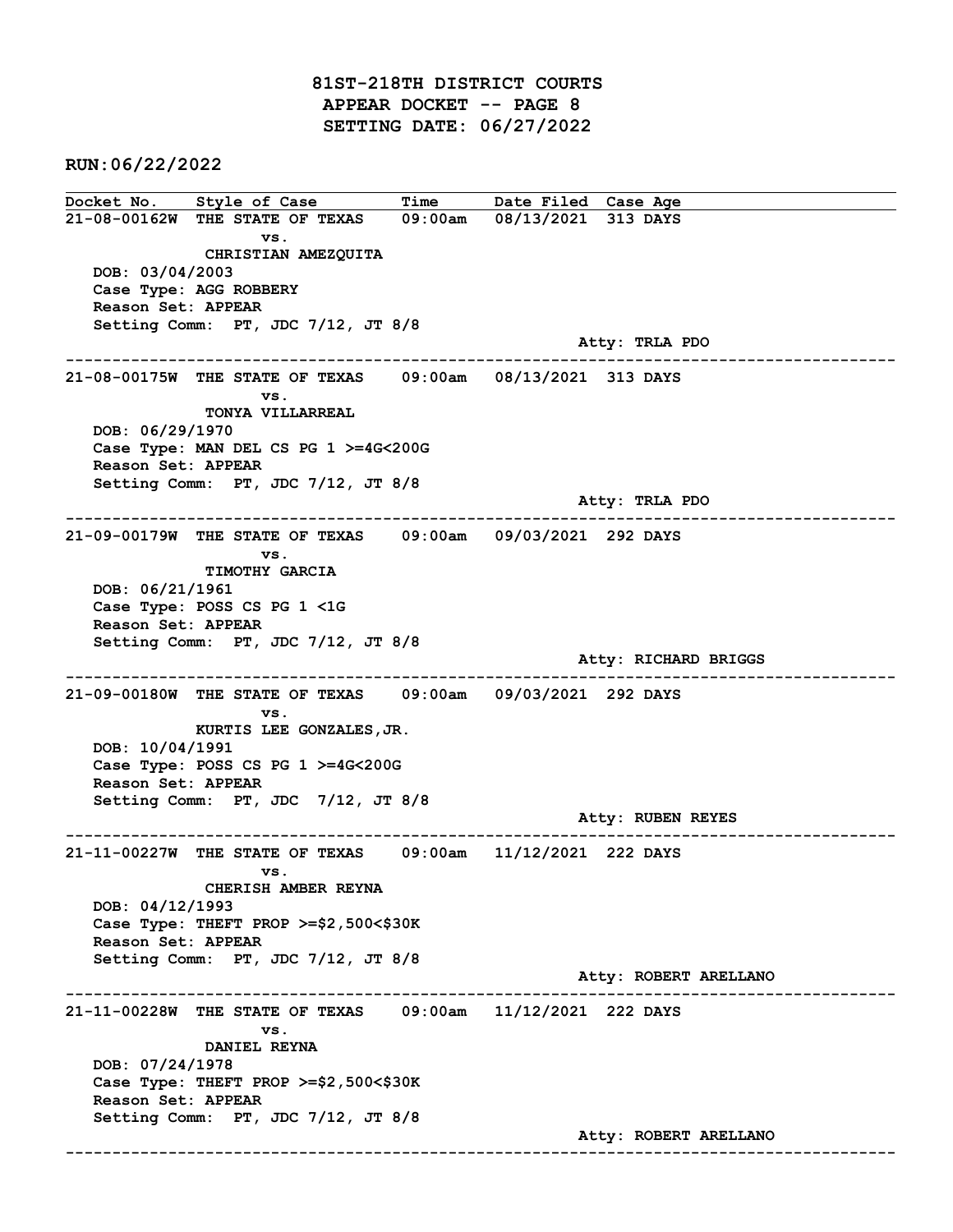81ST-218TH DISTRICT COURTS APPEAR DOCKET -- PAGE 8 SETTING DATE: 06/27/2022

RUN:06/22/2022

Docket No. Style of Case Time Date Filed Case Age 21-08-00162W THE STATE OF TEXAS 09:00am 08/13/2021 313 DAYS vs. CHRISTIAN AMEZQUITA DOB: 03/04/2003 Case Type: AGG ROBBERY Reason Set: APPEAR Setting Comm: PT, JDC 7/12, JT 8/8 Atty: TRLA PDO ------------------------------------------------------------------------------------------------------------------------ 21-08-00175W THE STATE OF TEXAS 09:00am 08/13/2021 313 DAYS vs. TONYA VILLARREAL DOB: 06/29/1970 Case Type: MAN DEL CS PG 1 >=4G<200G Reason Set: APPEAR Setting Comm: PT, JDC 7/12, JT 8/8 Atty: TRLA PDO ------------------------------------------------------------------------------------------------------------------------ 21-09-00179W THE STATE OF TEXAS 09:00am 09/03/2021 292 DAYS vs. TIMOTHY GARCIA DOB: 06/21/1961 Case Type: POSS CS PG 1 <1G Reason Set: APPEAR Setting Comm: PT, JDC 7/12, JT 8/8 Atty: RICHARD BRIGGS ------------------------------------------------------------------------------------------------------------------------ 21-09-00180W THE STATE OF TEXAS 09:00am 09/03/2021 292 DAYS vs. KURTIS LEE GONZALES,JR. DOB: 10/04/1991 Case Type: POSS CS PG 1 >=4G<200G Reason Set: APPEAR Setting Comm: PT, JDC 7/12, JT 8/8 Atty: RUBEN REYES ------------------------------------------------------------------------------------------------------------------------ 21-11-00227W THE STATE OF TEXAS 09:00am 11/12/2021 222 DAYS vs. CHERISH AMBER REYNA DOB: 04/12/1993 Case Type: THEFT PROP >=\$2,500<\$30K Reason Set: APPEAR Setting Comm: PT, JDC 7/12, JT 8/8 Atty: ROBERT ARELLANO ------------------------------------------------------------------------------------------------------------------------ 21-11-00228W THE STATE OF TEXAS 09:00am 11/12/2021 222 DAYS vs. DANIEL REYNA DOB: 07/24/1978 Case Type: THEFT PROP >=\$2,500<\$30K Reason Set: APPEAR Setting Comm: PT, JDC 7/12, JT 8/8 Atty: ROBERT ARELLANO ------------------------------------------------------------------------------------------------------------------------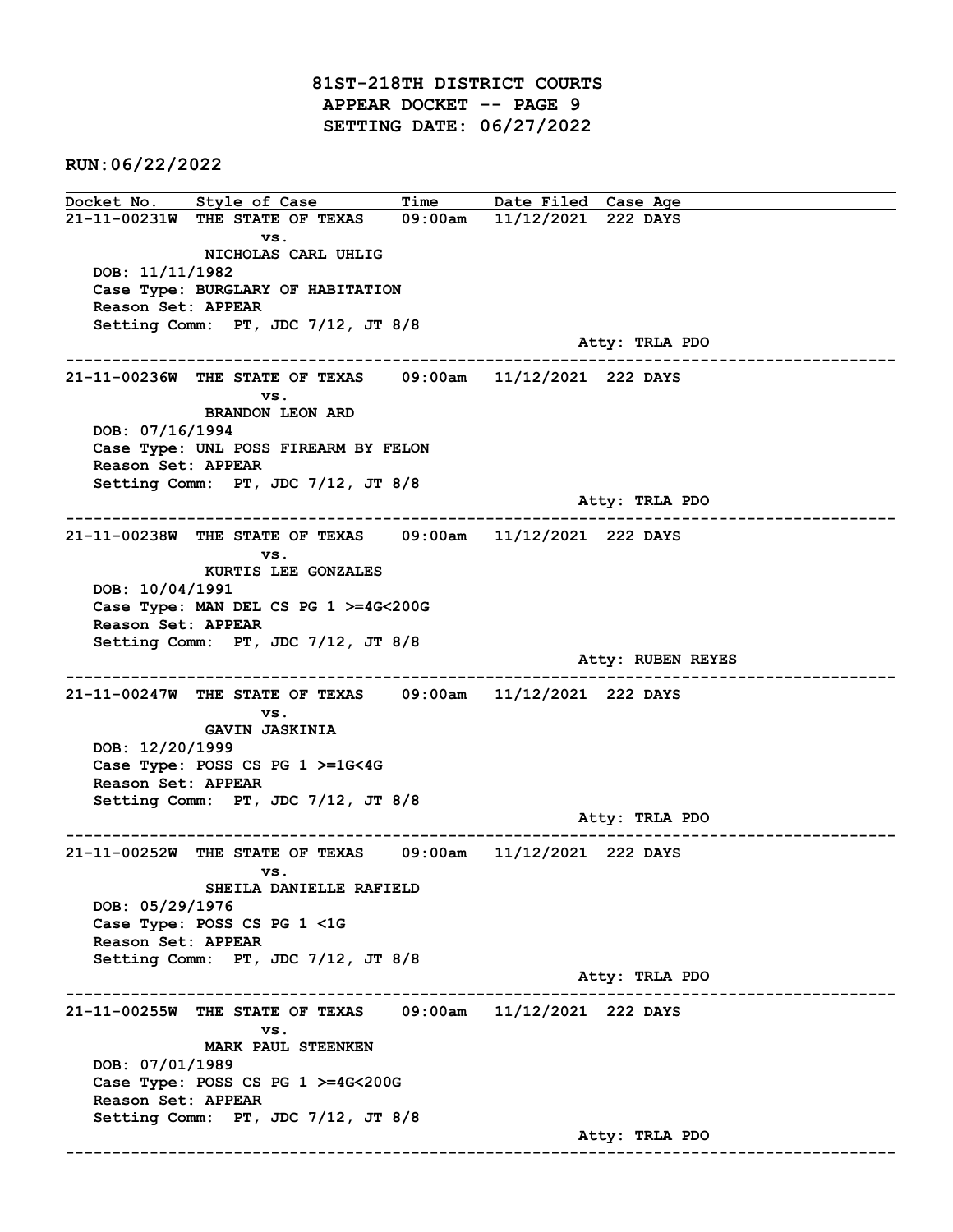81ST-218TH DISTRICT COURTS APPEAR DOCKET -- PAGE 9 SETTING DATE: 06/27/2022

RUN:06/22/2022

Docket No. Style of Case Time Date Filed Case Age 21-11-00231W THE STATE OF TEXAS 09:00am 11/12/2021 222 DAYS vs. NICHOLAS CARL UHLIG DOB: 11/11/1982 Case Type: BURGLARY OF HABITATION Reason Set: APPEAR Setting Comm: PT, JDC 7/12, JT 8/8 Atty: TRLA PDO ------------------------------------------------------------------------------------------------------------------------ 21-11-00236W THE STATE OF TEXAS 09:00am 11/12/2021 222 DAYS vs. BRANDON LEON ARD DOB: 07/16/1994 Case Type: UNL POSS FIREARM BY FELON Reason Set: APPEAR Setting Comm: PT, JDC 7/12, JT 8/8 Atty: TRLA PDO ------------------------------------------------------------------------------------------------------------------------ 21-11-00238W THE STATE OF TEXAS 09:00am 11/12/2021 222 DAYS vs. KURTIS LEE GONZALES DOB: 10/04/1991 Case Type: MAN DEL CS PG 1 >=4G<200G Reason Set: APPEAR Setting Comm: PT, JDC 7/12, JT 8/8 Atty: RUBEN REYES ------------------------------------------------------------------------------------------------------------------------ 21-11-00247W THE STATE OF TEXAS 09:00am 11/12/2021 222 DAYS vs. GAVIN JASKINIA DOB: 12/20/1999 Case Type: POSS CS PG 1 >=1G<4G Reason Set: APPEAR Setting Comm: PT, JDC 7/12, JT 8/8 Atty: TRLA PDO ------------------------------------------------------------------------------------------------------------------------ 21-11-00252W THE STATE OF TEXAS 09:00am 11/12/2021 222 DAYS vs. SHEILA DANIELLE RAFIELD DOB: 05/29/1976 Case Type: POSS CS PG 1 <1G Reason Set: APPEAR Setting Comm: PT, JDC 7/12, JT 8/8 Atty: TRLA PDO ------------------------------------------------------------------------------------------------------------------------ 21-11-00255W THE STATE OF TEXAS 09:00am 11/12/2021 222 DAYS vs. MARK PAUL STEENKEN DOB: 07/01/1989 Case Type: POSS CS PG 1 >=4G<200G Reason Set: APPEAR Setting Comm: PT, JDC 7/12, JT 8/8 Atty: TRLA PDO ------------------------------------------------------------------------------------------------------------------------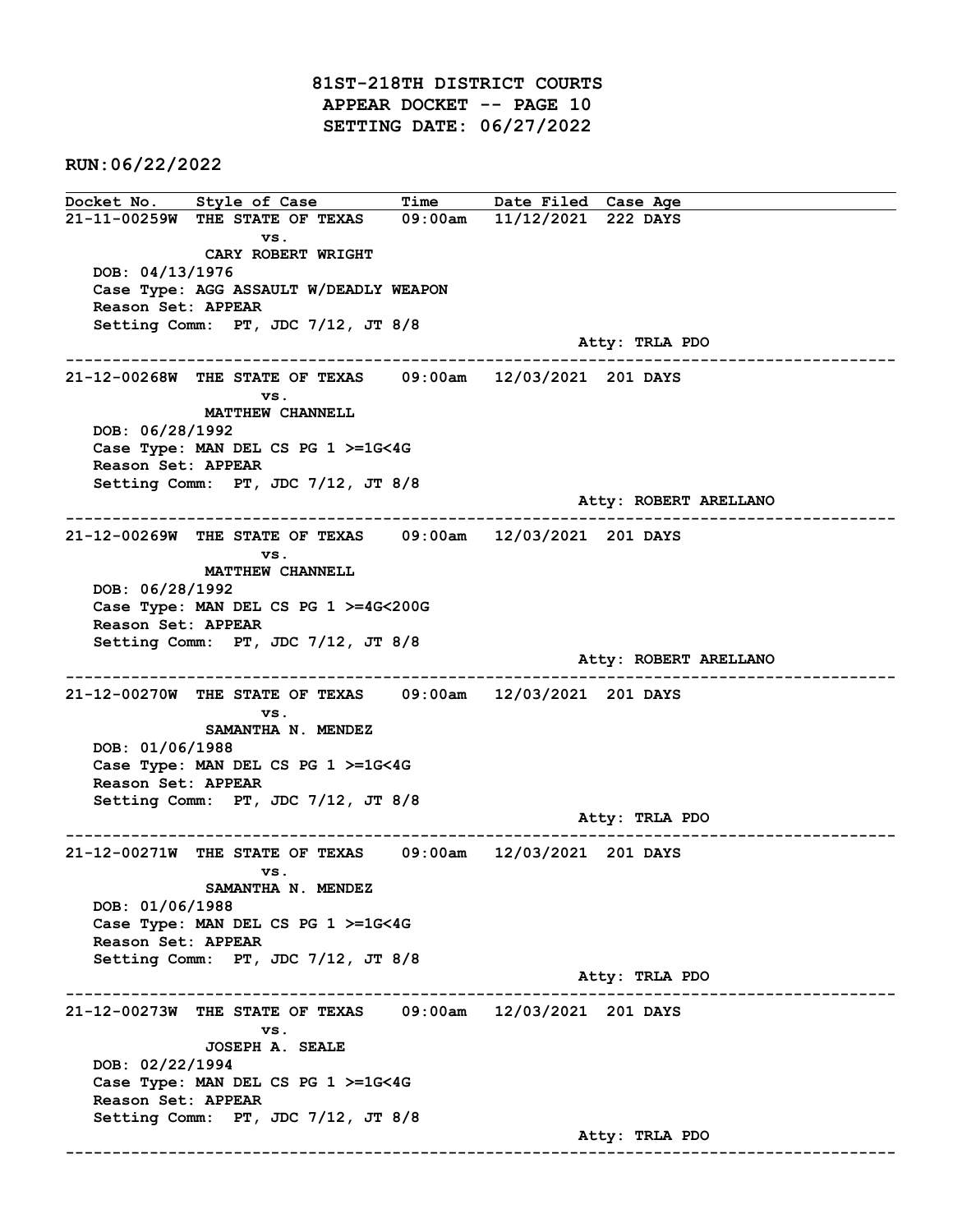81ST-218TH DISTRICT COURTS APPEAR DOCKET -- PAGE 10 SETTING DATE: 06/27/2022

RUN:06/22/2022

Docket No. Style of Case Time Date Filed Case Age 21-11-00259W THE STATE OF TEXAS 09:00am 11/12/2021 222 DAYS vs. CARY ROBERT WRIGHT DOB: 04/13/1976 Case Type: AGG ASSAULT W/DEADLY WEAPON Reason Set: APPEAR Setting Comm: PT, JDC 7/12, JT 8/8 Atty: TRLA PDO ------------------------------------------------------------------------------------------------------------------------ 21-12-00268W THE STATE OF TEXAS 09:00am 12/03/2021 201 DAYS vs. MATTHEW CHANNELL DOB: 06/28/1992 Case Type: MAN DEL CS PG 1 >=1G<4G Reason Set: APPEAR Setting Comm: PT, JDC 7/12, JT 8/8 Atty: ROBERT ARELLANO ------------------------------------------------------------------------------------------------------------------------ 21-12-00269W THE STATE OF TEXAS 09:00am 12/03/2021 201 DAYS vs. MATTHEW CHANNELL DOB: 06/28/1992 Case Type: MAN DEL CS PG 1 >=4G<200G Reason Set: APPEAR Setting Comm: PT, JDC 7/12, JT 8/8 Atty: ROBERT ARELLANO ------------------------------------------------------------------------------------------------------------------------ 21-12-00270W THE STATE OF TEXAS 09:00am 12/03/2021 201 DAYS vs. SAMANTHA N. MENDEZ DOB: 01/06/1988 Case Type: MAN DEL CS PG 1 >=1G<4G Reason Set: APPEAR Setting Comm: PT, JDC 7/12, JT 8/8 Atty: TRLA PDO ------------------------------------------------------------------------------------------------------------------------ 21-12-00271W THE STATE OF TEXAS 09:00am 12/03/2021 201 DAYS vs. SAMANTHA N. MENDEZ DOB: 01/06/1988 Case Type: MAN DEL CS PG 1 >=1G<4G Reason Set: APPEAR Setting Comm: PT, JDC 7/12, JT 8/8 Atty: TRLA PDO ------------------------------------------------------------------------------------------------------------------------ 21-12-00273W THE STATE OF TEXAS 09:00am 12/03/2021 201 DAYS vs. JOSEPH A. SEALE DOB: 02/22/1994 Case Type: MAN DEL CS PG 1 >=1G<4G Reason Set: APPEAR Setting Comm: PT, JDC 7/12, JT 8/8 Atty: TRLA PDO ------------------------------------------------------------------------------------------------------------------------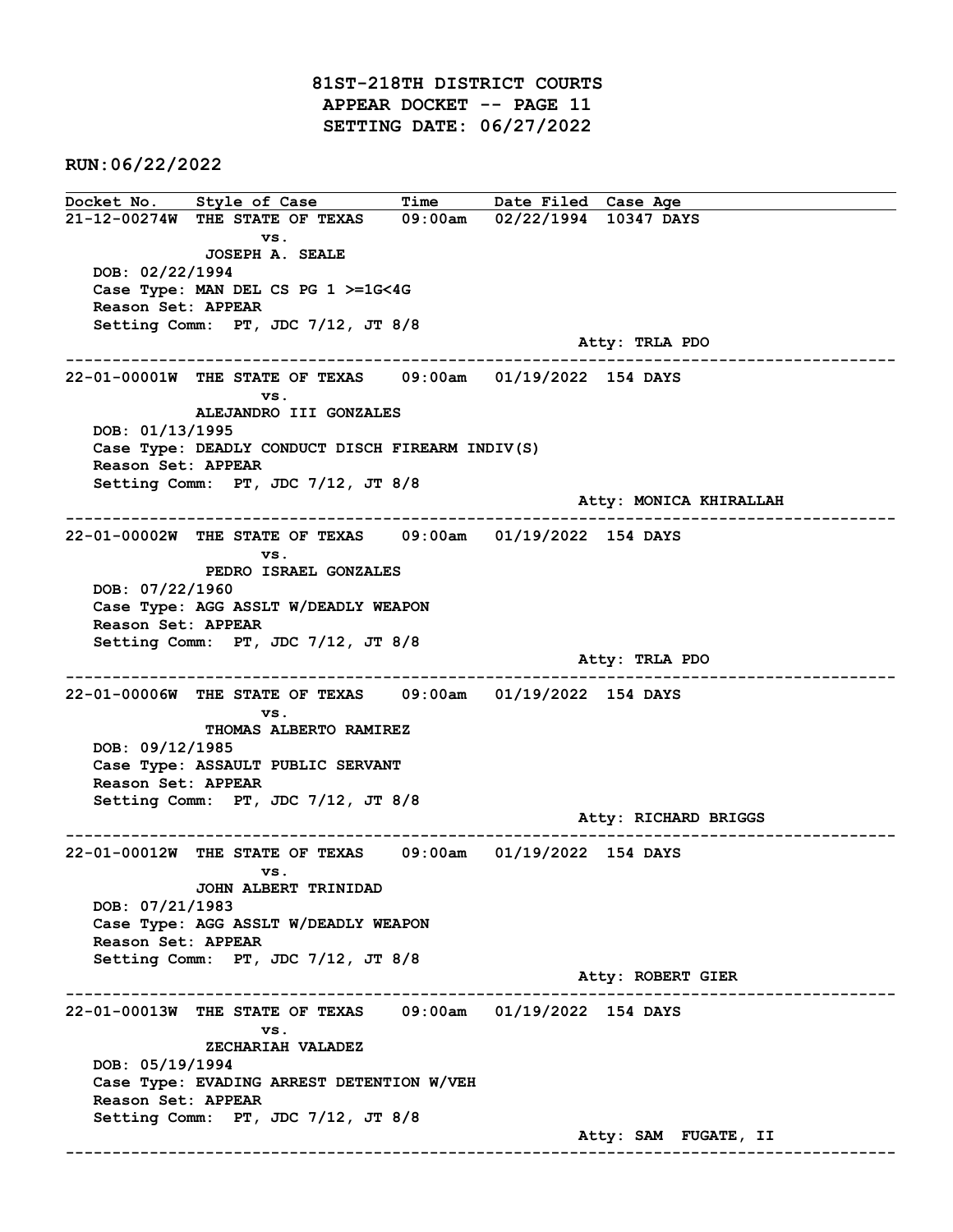81ST-218TH DISTRICT COURTS APPEAR DOCKET -- PAGE 11 SETTING DATE: 06/27/2022

RUN:06/22/2022

Docket No. Style of Case Time Date Filed Case Age 21-12-00274W THE STATE OF TEXAS 09:00am 02/22/1994 10347 DAYS vs. JOSEPH A. SEALE DOB: 02/22/1994 Case Type: MAN DEL CS PG 1 >=1G<4G Reason Set: APPEAR Setting Comm: PT, JDC 7/12, JT 8/8 Atty: TRLA PDO ------------------------------------------------------------------------------------------------------------------------ 22-01-00001W THE STATE OF TEXAS 09:00am 01/19/2022 154 DAYS vs. ALEJANDRO III GONZALES DOB: 01/13/1995 Case Type: DEADLY CONDUCT DISCH FIREARM INDIV(S) Reason Set: APPEAR Setting Comm: PT, JDC 7/12, JT 8/8 Atty: MONICA KHIRALLAH ------------------------------------------------------------------------------------------------------------------------ 22-01-00002W THE STATE OF TEXAS 09:00am 01/19/2022 154 DAYS vs. PEDRO ISRAEL GONZALES DOB: 07/22/1960 Case Type: AGG ASSLT W/DEADLY WEAPON Reason Set: APPEAR Setting Comm: PT, JDC 7/12, JT 8/8 Atty: TRLA PDO ------------------------------------------------------------------------------------------------------------------------ 22-01-00006W THE STATE OF TEXAS 09:00am 01/19/2022 154 DAYS vs. THOMAS ALBERTO RAMIREZ DOB: 09/12/1985 Case Type: ASSAULT PUBLIC SERVANT Reason Set: APPEAR Setting Comm: PT, JDC 7/12, JT 8/8 Atty: RICHARD BRIGGS ------------------------------------------------------------------------------------------------------------------------ 22-01-00012W THE STATE OF TEXAS 09:00am 01/19/2022 154 DAYS vs. JOHN ALBERT TRINIDAD DOB: 07/21/1983 Case Type: AGG ASSLT W/DEADLY WEAPON Reason Set: APPEAR Setting Comm: PT, JDC 7/12, JT 8/8 Atty: ROBERT GIER ------------------------------------------------------------------------------------------------------------------------ 22-01-00013W THE STATE OF TEXAS 09:00am 01/19/2022 154 DAYS vs. ZECHARIAH VALADEZ DOB: 05/19/1994 Case Type: EVADING ARREST DETENTION W/VEH Reason Set: APPEAR Setting Comm: PT, JDC 7/12, JT 8/8 Atty: SAM FUGATE, II ------------------------------------------------------------------------------------------------------------------------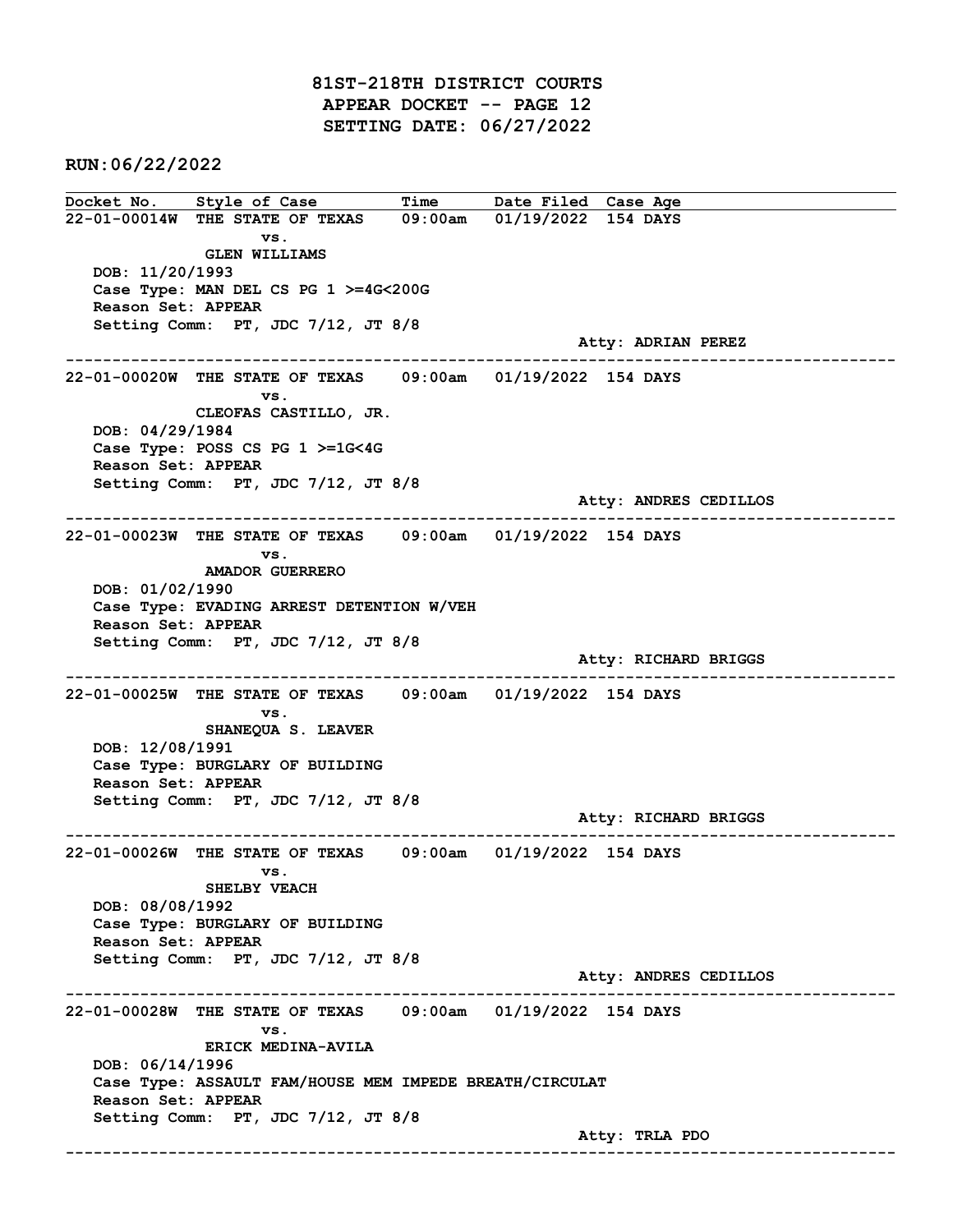81ST-218TH DISTRICT COURTS APPEAR DOCKET -- PAGE 12 SETTING DATE: 06/27/2022

RUN:06/22/2022

Docket No. Style of Case Time Date Filed Case Age 22-01-00014W THE STATE OF TEXAS 09:00am 01/19/2022 154 DAYS vs. GLEN WILLIAMS DOB: 11/20/1993 Case Type: MAN DEL CS PG 1 >=4G<200G Reason Set: APPEAR Setting Comm: PT, JDC 7/12, JT 8/8 Atty: ADRIAN PEREZ ------------------------------------------------------------------------------------------------------------------------ 22-01-00020W THE STATE OF TEXAS 09:00am 01/19/2022 154 DAYS vs. CLEOFAS CASTILLO, JR. DOB: 04/29/1984 Case Type: POSS CS PG 1 >=1G<4G Reason Set: APPEAR Setting Comm: PT, JDC 7/12, JT 8/8 Atty: ANDRES CEDILLOS ------------------------------------------------------------------------------------------------------------------------ 22-01-00023W THE STATE OF TEXAS 09:00am 01/19/2022 154 DAYS vs. AMADOR GUERRERO DOB: 01/02/1990 Case Type: EVADING ARREST DETENTION W/VEH Reason Set: APPEAR Setting Comm: PT, JDC 7/12, JT 8/8 Atty: RICHARD BRIGGS ------------------------------------------------------------------------------------------------------------------------ 22-01-00025W THE STATE OF TEXAS 09:00am 01/19/2022 154 DAYS vs. SHANEQUA S. LEAVER DOB: 12/08/1991 Case Type: BURGLARY OF BUILDING Reason Set: APPEAR Setting Comm: PT, JDC 7/12, JT 8/8 Atty: RICHARD BRIGGS ------------------------------------------------------------------------------------------------------------------------ 22-01-00026W THE STATE OF TEXAS 09:00am 01/19/2022 154 DAYS vs. SHELBY VEACH DOB: 08/08/1992 Case Type: BURGLARY OF BUILDING Reason Set: APPEAR Setting Comm: PT, JDC 7/12, JT 8/8 Atty: ANDRES CEDILLOS ------------------------------------------------------------------------------------------------------------------------ 22-01-00028W THE STATE OF TEXAS 09:00am 01/19/2022 154 DAYS vs. ERICK MEDINA-AVILA DOB: 06/14/1996 Case Type: ASSAULT FAM/HOUSE MEM IMPEDE BREATH/CIRCULAT Reason Set: APPEAR Setting Comm: PT, JDC 7/12, JT 8/8 Atty: TRLA PDO ------------------------------------------------------------------------------------------------------------------------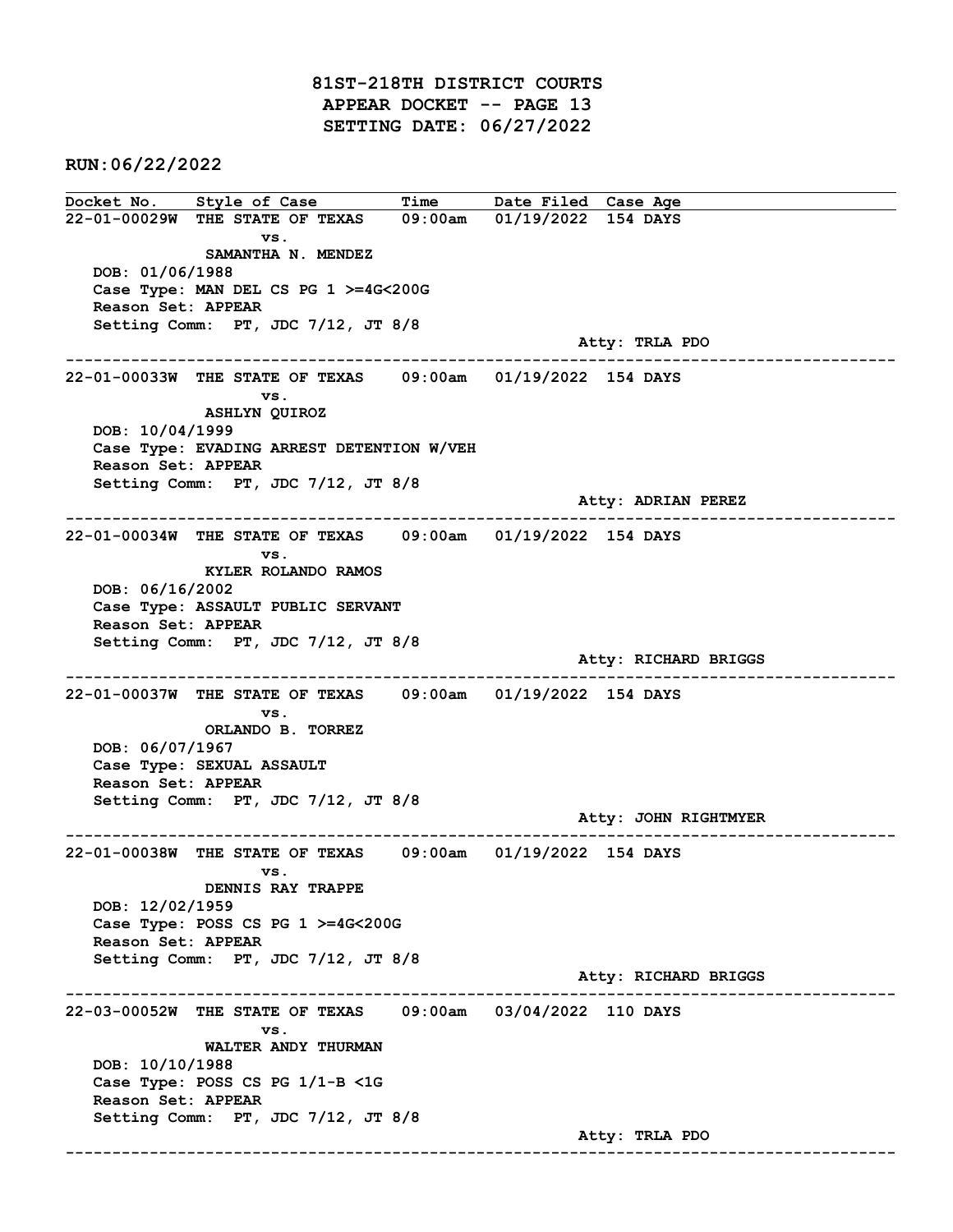81ST-218TH DISTRICT COURTS APPEAR DOCKET -- PAGE 13 SETTING DATE: 06/27/2022

RUN:06/22/2022

Docket No. Style of Case Time Date Filed Case Age 22-01-00029W THE STATE OF TEXAS 09:00am 01/19/2022 154 DAYS vs. SAMANTHA N. MENDEZ DOB: 01/06/1988 Case Type: MAN DEL CS PG 1 >=4G<200G Reason Set: APPEAR Setting Comm: PT, JDC 7/12, JT 8/8 Atty: TRLA PDO ------------------------------------------------------------------------------------------------------------------------ 22-01-00033W THE STATE OF TEXAS 09:00am 01/19/2022 154 DAYS vs. ASHLYN QUIROZ DOB: 10/04/1999 Case Type: EVADING ARREST DETENTION W/VEH Reason Set: APPEAR Setting Comm: PT, JDC 7/12, JT 8/8 Atty: ADRIAN PEREZ ------------------------------------------------------------------------------------------------------------------------ 22-01-00034W THE STATE OF TEXAS 09:00am 01/19/2022 154 DAYS vs. KYLER ROLANDO RAMOS DOB: 06/16/2002 Case Type: ASSAULT PUBLIC SERVANT Reason Set: APPEAR Setting Comm: PT, JDC 7/12, JT 8/8 Atty: RICHARD BRIGGS ------------------------------------------------------------------------------------------------------------------------ 22-01-00037W THE STATE OF TEXAS 09:00am 01/19/2022 154 DAYS vs. ORLANDO B. TORREZ DOB: 06/07/1967 Case Type: SEXUAL ASSAULT Reason Set: APPEAR Setting Comm: PT, JDC 7/12, JT 8/8 Atty: JOHN RIGHTMYER ------------------------------------------------------------------------------------------------------------------------ 22-01-00038W THE STATE OF TEXAS 09:00am 01/19/2022 154 DAYS vs. DENNIS RAY TRAPPE DOB: 12/02/1959 Case Type: POSS CS PG 1 >=4G<200G Reason Set: APPEAR Setting Comm: PT, JDC 7/12, JT 8/8 Atty: RICHARD BRIGGS ------------------------------------------------------------------------------------------------------------------------ 22-03-00052W THE STATE OF TEXAS 09:00am 03/04/2022 110 DAYS vs. WALTER ANDY THURMAN DOB: 10/10/1988 Case Type: POSS CS PG 1/1-B <1G Reason Set: APPEAR Setting Comm: PT, JDC 7/12, JT 8/8 Atty: TRLA PDO ------------------------------------------------------------------------------------------------------------------------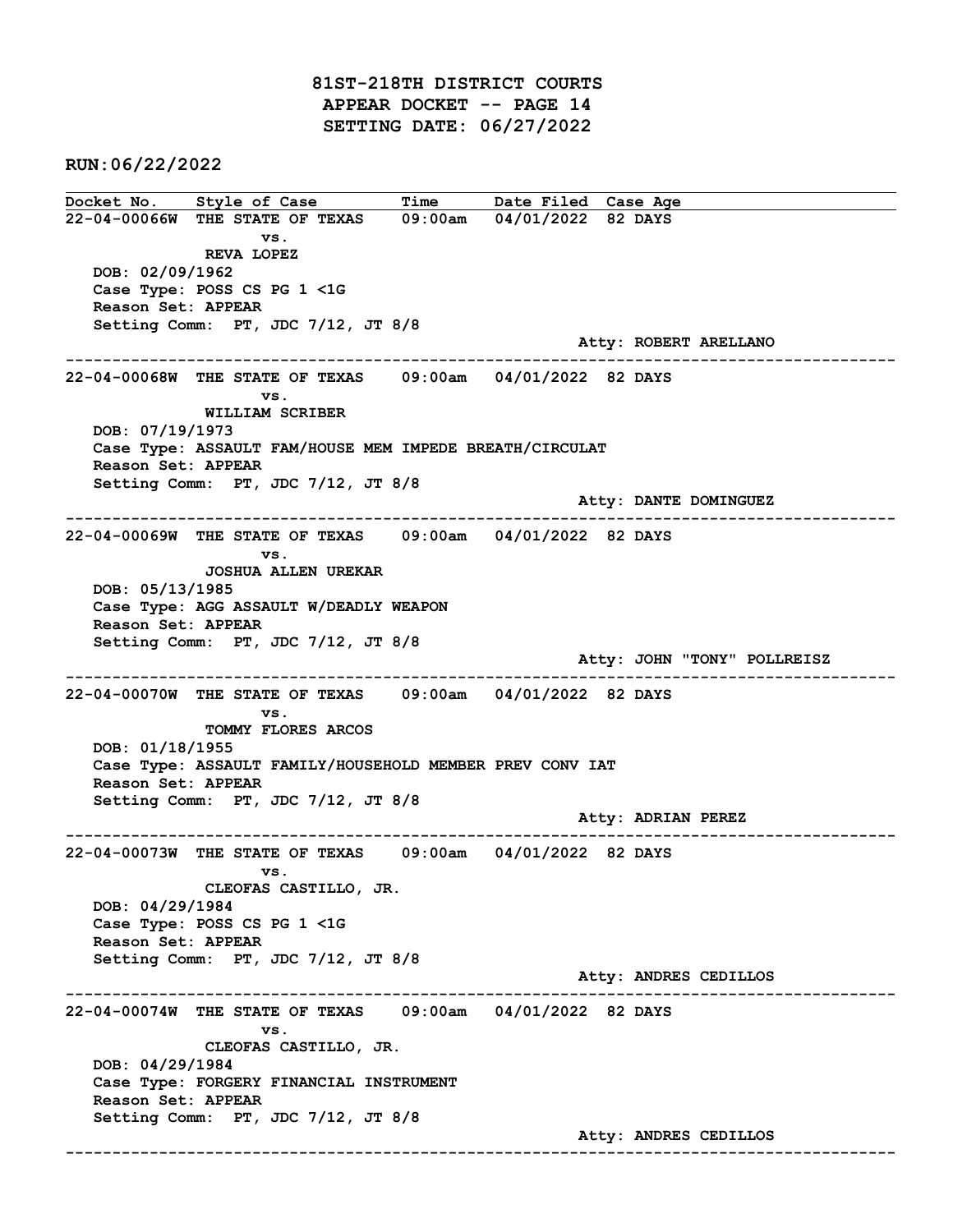81ST-218TH DISTRICT COURTS APPEAR DOCKET -- PAGE 14 SETTING DATE: 06/27/2022

RUN:06/22/2022

Docket No. Style of Case Time Date Filed Case Age 22-04-00066W THE STATE OF TEXAS 09:00am 04/01/2022 82 DAYS vs. REVA LOPEZ DOB: 02/09/1962 Case Type: POSS CS PG 1 <1G Reason Set: APPEAR Setting Comm: PT, JDC 7/12, JT 8/8 Atty: ROBERT ARELLANO ------------------------------------------------------------------------------------------------------------------------ 22-04-00068W THE STATE OF TEXAS 09:00am 04/01/2022 82 DAYS vs. WILLIAM SCRIBER DOB: 07/19/1973 Case Type: ASSAULT FAM/HOUSE MEM IMPEDE BREATH/CIRCULAT Reason Set: APPEAR Setting Comm: PT, JDC 7/12, JT 8/8 Atty: DANTE DOMINGUEZ ------------------------------------------------------------------------------------------------------------------------ 22-04-00069W THE STATE OF TEXAS 09:00am 04/01/2022 82 DAYS vs. JOSHUA ALLEN UREKAR DOB: 05/13/1985 Case Type: AGG ASSAULT W/DEADLY WEAPON Reason Set: APPEAR Setting Comm: PT, JDC 7/12, JT 8/8 Atty: JOHN "TONY" POLLREISZ ------------------------------------------------------------------------------------------------------------------------ 22-04-00070W THE STATE OF TEXAS 09:00am 04/01/2022 82 DAYS vs. TOMMY FLORES ARCOS DOB: 01/18/1955 Case Type: ASSAULT FAMILY/HOUSEHOLD MEMBER PREV CONV IAT Reason Set: APPEAR Setting Comm: PT, JDC 7/12, JT 8/8 Atty: ADRIAN PEREZ ------------------------------------------------------------------------------------------------------------------------ 22-04-00073W THE STATE OF TEXAS 09:00am 04/01/2022 82 DAYS vs. CLEOFAS CASTILLO, JR. DOB: 04/29/1984 Case Type: POSS CS PG 1 <1G Reason Set: APPEAR Setting Comm: PT, JDC 7/12, JT 8/8 Atty: ANDRES CEDILLOS ------------------------------------------------------------------------------------------------------------------------ 22-04-00074W THE STATE OF TEXAS 09:00am 04/01/2022 82 DAYS vs. CLEOFAS CASTILLO, JR. DOB: 04/29/1984 Case Type: FORGERY FINANCIAL INSTRUMENT Reason Set: APPEAR Setting Comm: PT, JDC 7/12, JT 8/8 Atty: ANDRES CEDILLOS ------------------------------------------------------------------------------------------------------------------------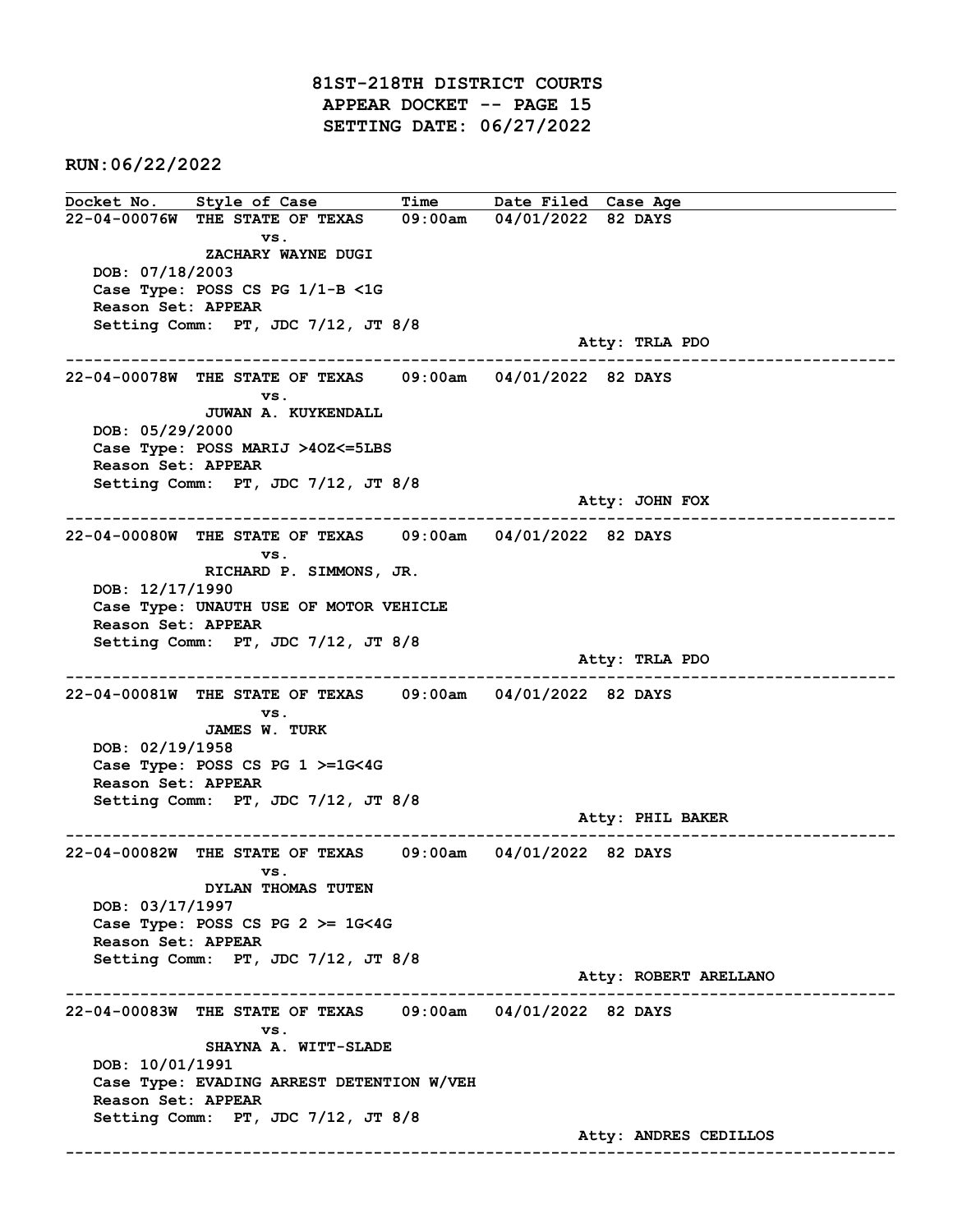81ST-218TH DISTRICT COURTS APPEAR DOCKET -- PAGE 15 SETTING DATE: 06/27/2022

RUN:06/22/2022

Docket No. Style of Case Time Date Filed Case Age 22-04-00076W THE STATE OF TEXAS 09:00am 04/01/2022 82 DAYS vs. ZACHARY WAYNE DUGI DOB: 07/18/2003 Case Type: POSS CS PG 1/1-B <1G Reason Set: APPEAR Setting Comm: PT, JDC 7/12, JT 8/8 Atty: TRLA PDO ------------------------------------------------------------------------------------------------------------------------ 22-04-00078W THE STATE OF TEXAS 09:00am 04/01/2022 82 DAYS vs. JUWAN A. KUYKENDALL DOB: 05/29/2000 Case Type: POSS MARIJ >4OZ<=5LBS Reason Set: APPEAR Setting Comm: PT, JDC 7/12, JT 8/8 Atty: JOHN FOX ------------------------------------------------------------------------------------------------------------------------ 22-04-00080W THE STATE OF TEXAS 09:00am 04/01/2022 82 DAYS vs. RICHARD P. SIMMONS, JR. DOB: 12/17/1990 Case Type: UNAUTH USE OF MOTOR VEHICLE Reason Set: APPEAR Setting Comm: PT, JDC 7/12, JT 8/8 Atty: TRLA PDO ------------------------------------------------------------------------------------------------------------------------ 22-04-00081W THE STATE OF TEXAS 09:00am 04/01/2022 82 DAYS vs. JAMES W. TURK DOB: 02/19/1958 Case Type: POSS CS PG 1 >=1G<4G Reason Set: APPEAR Setting Comm: PT, JDC 7/12, JT 8/8 Atty: PHIL BAKER ------------------------------------------------------------------------------------------------------------------------ 22-04-00082W THE STATE OF TEXAS 09:00am 04/01/2022 82 DAYS vs. DYLAN THOMAS TUTEN DOB: 03/17/1997 Case Type: POSS CS PG 2 >= 1G<4G Reason Set: APPEAR Setting Comm: PT, JDC 7/12, JT 8/8 Atty: ROBERT ARELLANO ------------------------------------------------------------------------------------------------------------------------ 22-04-00083W THE STATE OF TEXAS 09:00am 04/01/2022 82 DAYS vs. SHAYNA A. WITT-SLADE DOB: 10/01/1991 Case Type: EVADING ARREST DETENTION W/VEH Reason Set: APPEAR Setting Comm: PT, JDC 7/12, JT 8/8 Atty: ANDRES CEDILLOS ------------------------------------------------------------------------------------------------------------------------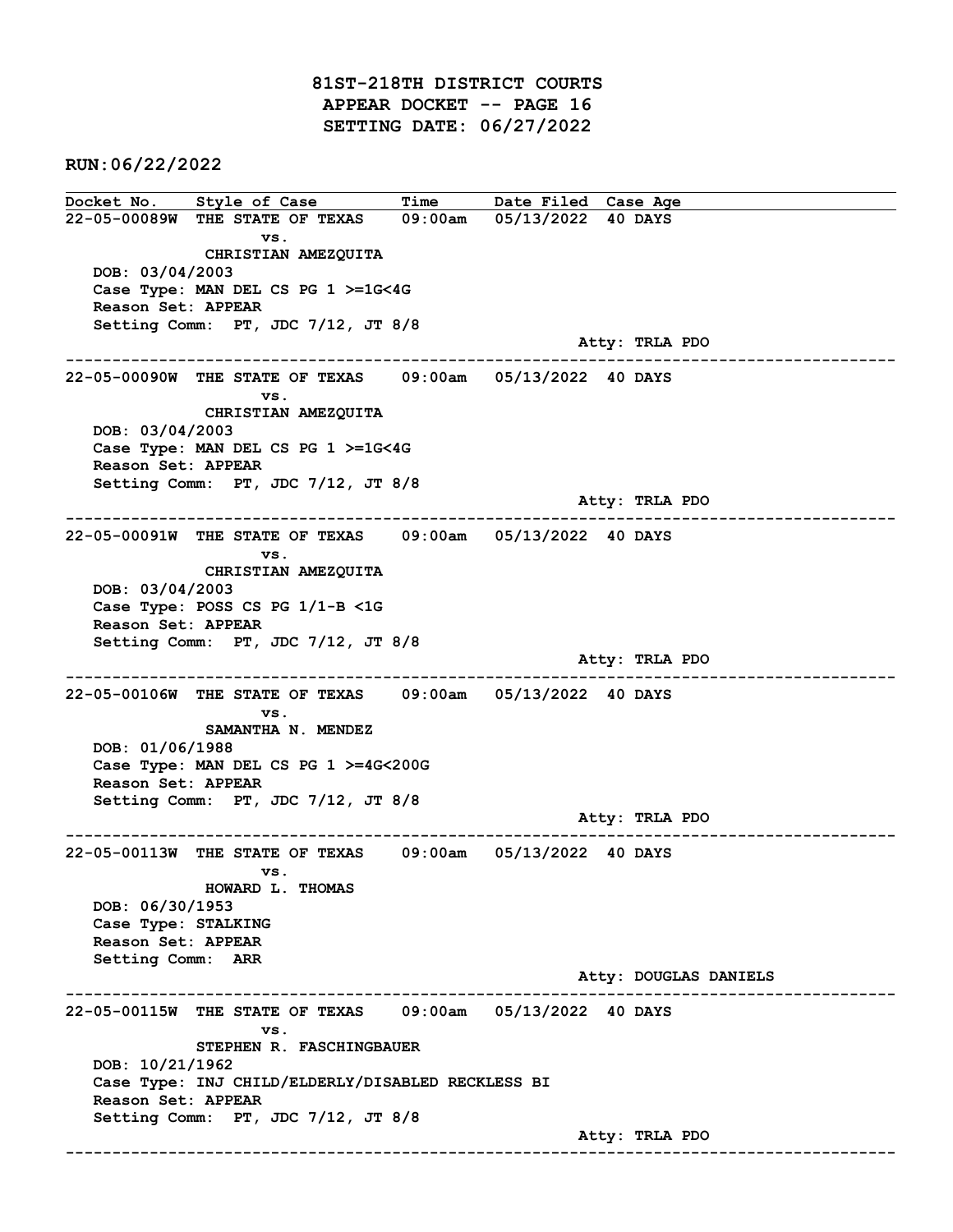81ST-218TH DISTRICT COURTS APPEAR DOCKET -- PAGE 16 SETTING DATE: 06/27/2022

RUN:06/22/2022

Docket No. Style of Case Time Date Filed Case Age 22-05-00089W THE STATE OF TEXAS 09:00am 05/13/2022 40 DAYS vs. CHRISTIAN AMEZQUITA DOB: 03/04/2003 Case Type: MAN DEL CS PG 1 >=1G<4G Reason Set: APPEAR Setting Comm: PT, JDC 7/12, JT 8/8 Atty: TRLA PDO ------------------------------------------------------------------------------------------------------------------------ 22-05-00090W THE STATE OF TEXAS 09:00am 05/13/2022 40 DAYS vs. CHRISTIAN AMEZQUITA DOB: 03/04/2003 Case Type: MAN DEL CS PG 1 >=1G<4G Reason Set: APPEAR Setting Comm: PT, JDC 7/12, JT 8/8 Atty: TRLA PDO ------------------------------------------------------------------------------------------------------------------------ 22-05-00091W THE STATE OF TEXAS 09:00am 05/13/2022 40 DAYS vs. CHRISTIAN AMEZQUITA DOB: 03/04/2003 Case Type: POSS CS PG 1/1-B <1G Reason Set: APPEAR Setting Comm: PT, JDC 7/12, JT 8/8 Atty: TRLA PDO ------------------------------------------------------------------------------------------------------------------------ 22-05-00106W THE STATE OF TEXAS 09:00am 05/13/2022 40 DAYS vs. SAMANTHA N. MENDEZ DOB: 01/06/1988 Case Type: MAN DEL CS PG 1 >=4G<200G Reason Set: APPEAR Setting Comm: PT, JDC 7/12, JT 8/8 Atty: TRLA PDO ------------------------------------------------------------------------------------------------------------------------ 22-05-00113W THE STATE OF TEXAS 09:00am 05/13/2022 40 DAYS vs. HOWARD L. THOMAS DOB: 06/30/1953 Case Type: STALKING Reason Set: APPEAR Setting Comm: ARR Atty: DOUGLAS DANIELS ------------------------------------------------------------------------------------------------------------------------ 22-05-00115W THE STATE OF TEXAS 09:00am 05/13/2022 40 DAYS vs. STEPHEN R. FASCHINGBAUER DOB: 10/21/1962 Case Type: INJ CHILD/ELDERLY/DISABLED RECKLESS BI Reason Set: APPEAR Setting Comm: PT, JDC 7/12, JT 8/8 Atty: TRLA PDO ------------------------------------------------------------------------------------------------------------------------